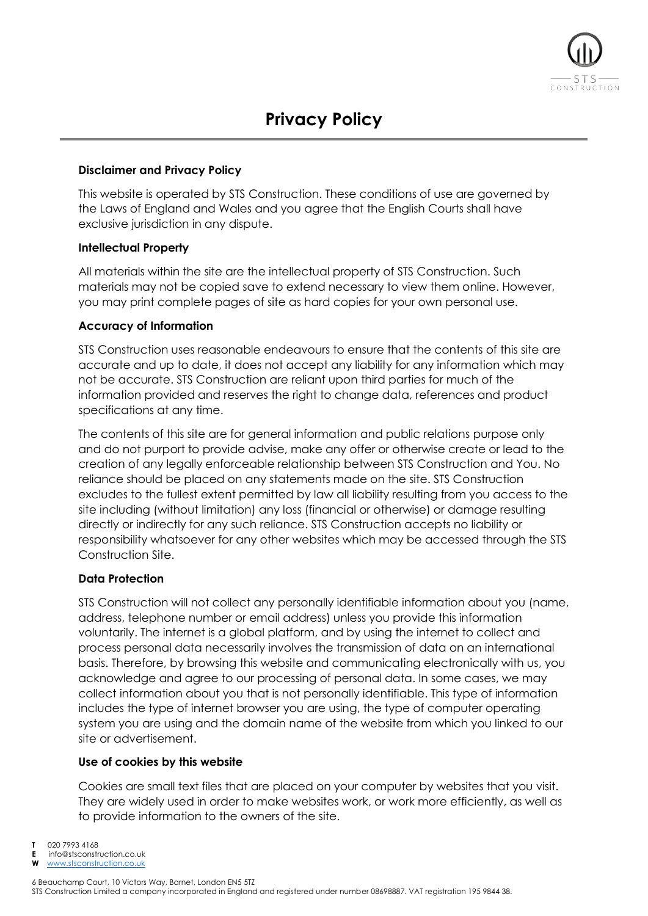

### **Disclaimer and Privacy Policy**

This website is operated by STS Construction. These conditions of use are governed by the Laws of England and Wales and you agree that the English Courts shall have exclusive jurisdiction in any dispute.

### **Intellectual Property**

All materials within the site are the intellectual property of STS Construction. Such materials may not be copied save to extend necessary to view them online. However, you may print complete pages of site as hard copies for your own personal use.

## **Accuracy of Information**

STS Construction uses reasonable endeavours to ensure that the contents of this site are accurate and up to date, it does not accept any liability for any information which may not be accurate. STS Construction are reliant upon third parties for much of the information provided and reserves the right to change data, references and product specifications at any time.

The contents of this site are for general information and public relations purpose only and do not purport to provide advise, make any offer or otherwise create or lead to the creation of any legally enforceable relationship between STS Construction and You. No reliance should be placed on any statements made on the site. STS Construction excludes to the fullest extent permitted by law all liability resulting from you access to the site including (without limitation) any loss (financial or otherwise) or damage resulting directly or indirectly for any such reliance. STS Construction accepts no liability or responsibility whatsoever for any other websites which may be accessed through the STS Construction Site.

# **Data Protection**

STS Construction will not collect any personally identifiable information about you (name, address, telephone number or email address) unless you provide this information voluntarily. The internet is a global platform, and by using the internet to collect and process personal data necessarily involves the transmission of data on an international basis. Therefore, by browsing this website and communicating electronically with us, you acknowledge and agree to our processing of personal data. In some cases, we may collect information about you that is not personally identifiable. This type of information includes the type of internet browser you are using, the type of computer operating system you are using and the domain name of the website from which you linked to our site or advertisement.

# **Use of cookies by this website**

Cookies are small text files that are placed on your computer by websites that you visit. They are widely used in order to make websites work, or work more efficiently, as well as to provide information to the owners of the site.

- **T** 020 7993 4168
- **E** info@stsconstruction.co.uk
- **W** [www.stsconstruction.co.uk](http://www.stsconstruction.co.uk/)